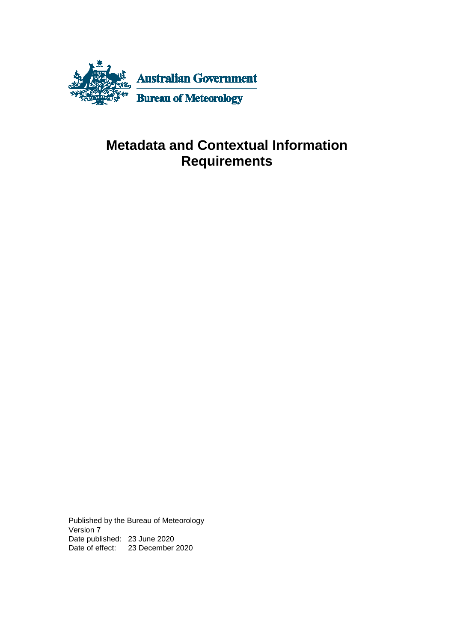

### **Metadata and Contextual Information Requirements**

Published by the Bureau of Meteorology Version 7 Date published: 23 June 2020 Date of effect: 23 December 2020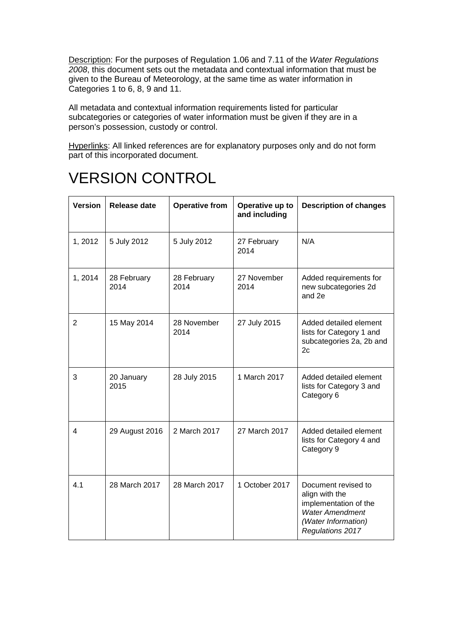Description: For the purposes of Regulation 1.06 and 7.11 of the *Water Regulations 2008*, this document sets out the metadata and contextual information that must be given to the Bureau of Meteorology, at the same time as water information in Categories 1 to 6, 8, 9 and 11.

All metadata and contextual information requirements listed for particular subcategories or categories of water information must be given if they are in a person's possession, custody or control.

Hyperlinks: All linked references are for explanatory purposes only and do not form part of this incorporated document.

### VERSION CONTROL

| <b>Version</b> | <b>Release date</b> | <b>Operative from</b> | Operative up to<br>and including | <b>Description of changes</b>                                                                                                       |
|----------------|---------------------|-----------------------|----------------------------------|-------------------------------------------------------------------------------------------------------------------------------------|
| 1, 2012        | 5 July 2012         | 5 July 2012           | 27 February<br>2014              | N/A                                                                                                                                 |
| 1,2014         | 28 February<br>2014 | 28 February<br>2014   | 27 November<br>2014              | Added requirements for<br>new subcategories 2d<br>and 2e                                                                            |
| $\overline{2}$ | 15 May 2014         | 28 November<br>2014   | 27 July 2015                     | Added detailed element<br>lists for Category 1 and<br>subcategories 2a, 2b and<br>2c                                                |
| 3              | 20 January<br>2015  | 28 July 2015          | 1 March 2017                     | Added detailed element<br>lists for Category 3 and<br>Category 6                                                                    |
| 4              | 29 August 2016      | 2 March 2017          | 27 March 2017                    | Added detailed element<br>lists for Category 4 and<br>Category 9                                                                    |
| 4.1            | 28 March 2017       | 28 March 2017         | 1 October 2017                   | Document revised to<br>align with the<br>implementation of the<br><b>Water Amendment</b><br>(Water Information)<br>Regulations 2017 |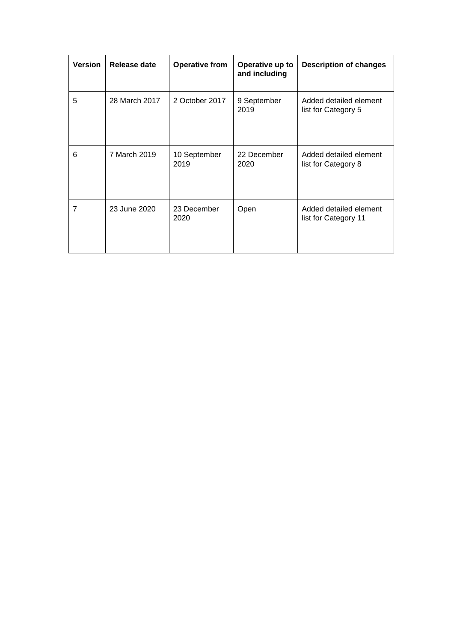| <b>Version</b> | Release date  | <b>Operative from</b> | Operative up to<br>and including | <b>Description of changes</b>                  |
|----------------|---------------|-----------------------|----------------------------------|------------------------------------------------|
| 5              | 28 March 2017 | 2 October 2017        | 9 September<br>2019              | Added detailed element<br>list for Category 5  |
| 6              | 7 March 2019  | 10 September<br>2019  | 22 December<br>2020              | Added detailed element<br>list for Category 8  |
| $\overline{7}$ | 23 June 2020  | 23 December<br>2020   | Open                             | Added detailed element<br>list for Category 11 |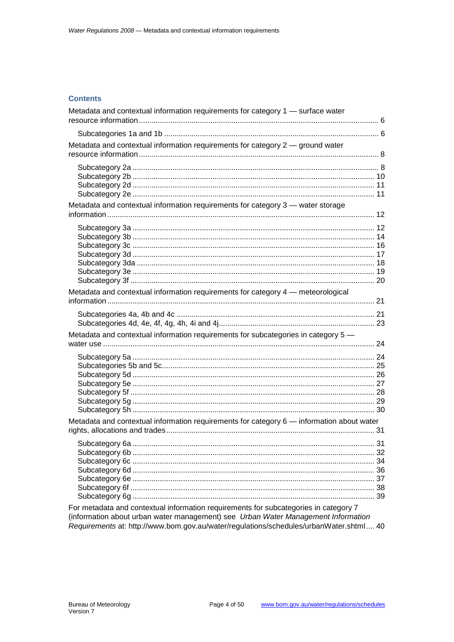#### **Contents**

| Metadata and contextual information requirements for category 1 - surface water           |  |
|-------------------------------------------------------------------------------------------|--|
|                                                                                           |  |
| Metadata and contextual information requirements for category 2 - ground water            |  |
|                                                                                           |  |
| Metadata and contextual information requirements for category 3 - water storage           |  |
|                                                                                           |  |
| Metadata and contextual information requirements for category 4 - meteorological          |  |
|                                                                                           |  |
| Metadata and contextual information requirements for subcategories in category 5 -        |  |
|                                                                                           |  |
| Metadata and contextual information requirements for category 6 - information about water |  |
| For metadata and contextual information requirements for subcategories in category 7      |  |
| (information about urban water management) see Urban Water Management Information         |  |

(information about urban water management) see Urban Water Management Information Requirements at: http://www.bom.gov.au/water/regulations/schedules/urbanWater.shtml.... 40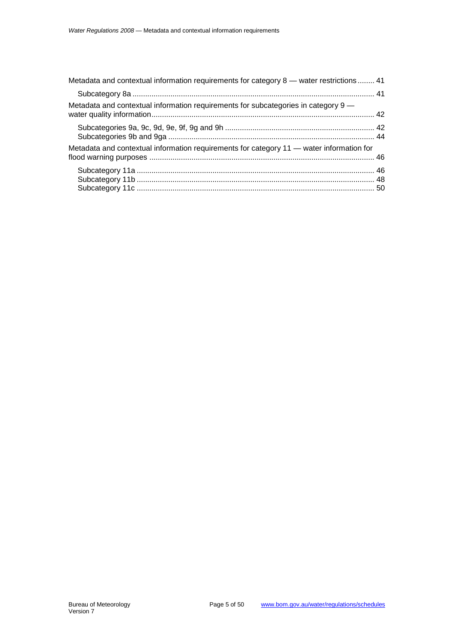| Metadata and contextual information requirements for category 8 - water restrictions  41 |  |
|------------------------------------------------------------------------------------------|--|
|                                                                                          |  |
| Metadata and contextual information requirements for subcategories in category 9 —       |  |
|                                                                                          |  |
| Metadata and contextual information requirements for category 11 - water information for |  |
|                                                                                          |  |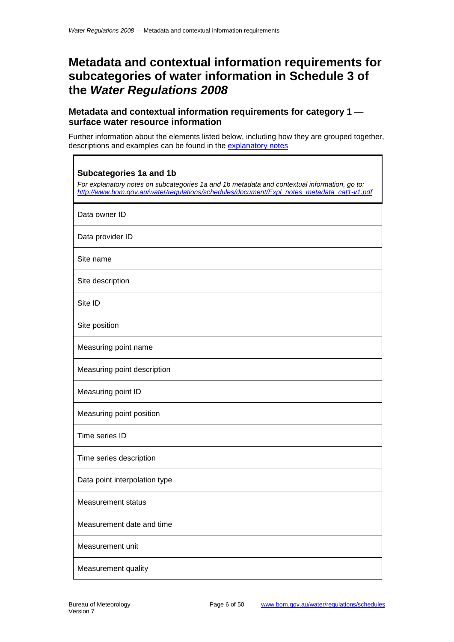### **Metadata and contextual information requirements for subcategories of water information in Schedule 3 of the** *Water Regulations 2008*

#### <span id="page-5-0"></span>**Metadata and contextual information requirements for category 1 surface water resource information**

Further information about the elements listed below, including how they are grouped together, descriptions and examples can be found in the [explanatory notes](http://www.bom.gov.au/water/regulations/schedules/document/Expl_notes_metadata_cat1-v1.pdf)

٦

<span id="page-5-1"></span>

| <b>Subcategories 1a and 1b</b><br>For explanatory notes on subcategories 1a and 1b metadata and contextual information, go to:<br>http://www.bom.gov.au/water/requlations/schedules/document/Expl_notes_metadata_cat1-v1.pdf |
|------------------------------------------------------------------------------------------------------------------------------------------------------------------------------------------------------------------------------|
| Data owner ID                                                                                                                                                                                                                |
| Data provider ID                                                                                                                                                                                                             |
| Site name                                                                                                                                                                                                                    |
| Site description                                                                                                                                                                                                             |
| Site ID                                                                                                                                                                                                                      |
| Site position                                                                                                                                                                                                                |
| Measuring point name                                                                                                                                                                                                         |
| Measuring point description                                                                                                                                                                                                  |
| Measuring point ID                                                                                                                                                                                                           |
| Measuring point position                                                                                                                                                                                                     |
| Time series ID                                                                                                                                                                                                               |
| Time series description                                                                                                                                                                                                      |
| Data point interpolation type                                                                                                                                                                                                |
| <b>Measurement status</b>                                                                                                                                                                                                    |
| Measurement date and time                                                                                                                                                                                                    |
| Measurement unit                                                                                                                                                                                                             |
| Measurement quality                                                                                                                                                                                                          |

Г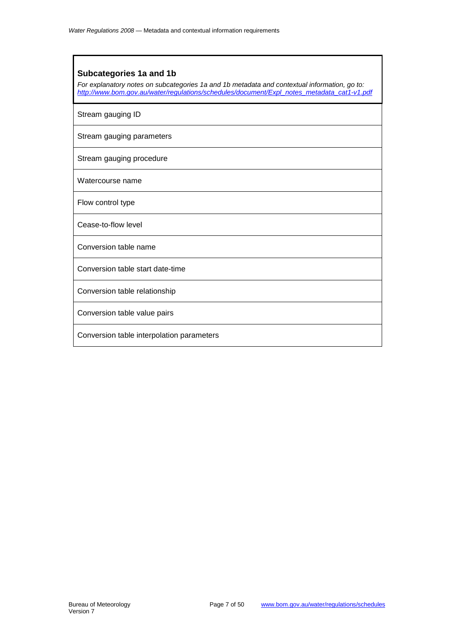#### **Subcategories 1a and 1b**

*For explanatory notes on subcategories 1a and 1b metadata and contextual information, go to: [http://www.bom.gov.au/water/regulations/schedules/document/Expl\\_notes\\_metadata\\_cat1-v1.pdf](http://www.bom.gov.au/water/regulations/schedules/document/Expl_notes_metadata_cat1-v1.pdf)*

Stream gauging ID

Stream gauging parameters

Stream gauging procedure

Watercourse name

Flow control type

Cease-to-flow level

Conversion table name

Conversion table start date-time

Conversion table relationship

Conversion table value pairs

Conversion table interpolation parameters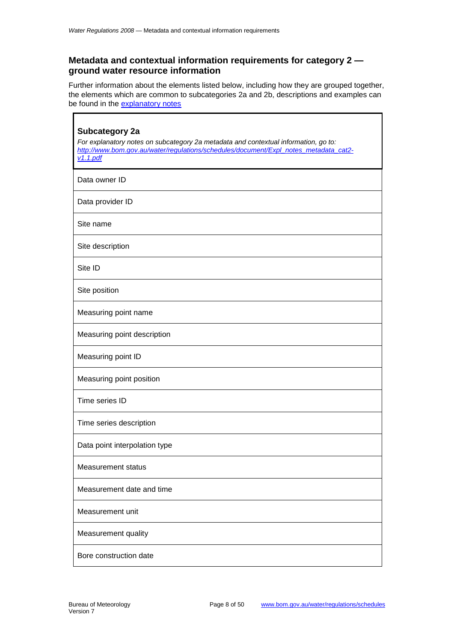#### <span id="page-7-0"></span>**Metadata and contextual information requirements for category 2 ground water resource information**

Further information about the elements listed below, including how they are grouped together, the elements which are common to subcategories 2a and 2b, descriptions and examples can be found in the [explanatory notes](http://www.bom.gov.au/water/regulations/schedules/document/Expl_notes_metadata_cat2-v1.1.pdf)

<span id="page-7-1"></span>

| <b>Subcategory 2a</b><br>For explanatory notes on subcategory 2a metadata and contextual information, go to:<br>http://www.bom.gov.au/water/regulations/schedules/document/Expl notes metadata cat2-<br>v1.1.pdf |
|------------------------------------------------------------------------------------------------------------------------------------------------------------------------------------------------------------------|
| Data owner ID                                                                                                                                                                                                    |
| Data provider ID                                                                                                                                                                                                 |
| Site name                                                                                                                                                                                                        |
| Site description                                                                                                                                                                                                 |
| Site ID                                                                                                                                                                                                          |
| Site position                                                                                                                                                                                                    |
| Measuring point name                                                                                                                                                                                             |
| Measuring point description                                                                                                                                                                                      |
| Measuring point ID                                                                                                                                                                                               |
| Measuring point position                                                                                                                                                                                         |
| Time series ID                                                                                                                                                                                                   |
| Time series description                                                                                                                                                                                          |
| Data point interpolation type                                                                                                                                                                                    |
| <b>Measurement status</b>                                                                                                                                                                                        |
| Measurement date and time                                                                                                                                                                                        |
| Measurement unit                                                                                                                                                                                                 |
| Measurement quality                                                                                                                                                                                              |
| Bore construction date                                                                                                                                                                                           |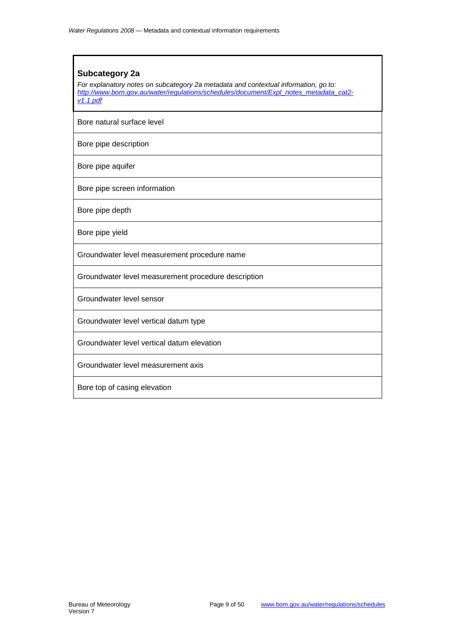### **Subcategory 2a** *For explanatory notes on subcategory 2a metadata and contextual information, go to: [http://www.bom.gov.au/water/regulations/schedules/document/Expl\\_notes\\_metadata\\_cat2](http://www.bom.gov.au/water/regulations/schedules/document/Expl_notes_metadata_cat2-v1.1.pdf) [v1.1.pdf](http://www.bom.gov.au/water/regulations/schedules/document/Expl_notes_metadata_cat2-v1.1.pdf)* Bore natural surface level Bore pipe description Bore pipe aquifer Bore pipe screen information Bore pipe depth Bore pipe yield Groundwater level measurement procedure name Groundwater level measurement procedure description Groundwater level sensor Groundwater level vertical datum type Groundwater level vertical datum elevation Groundwater level measurement axis Bore top of casing elevation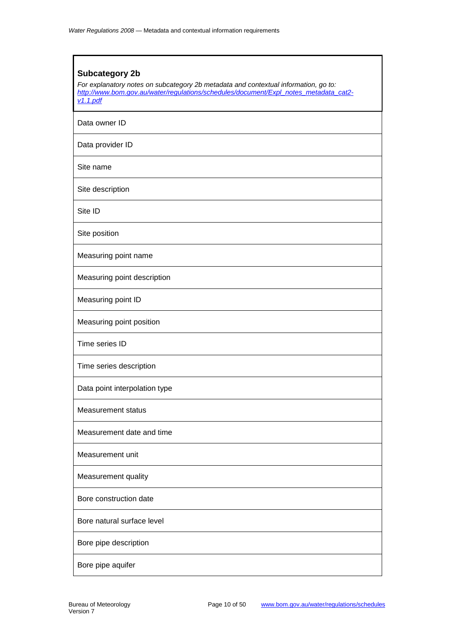## <span id="page-9-0"></span>**Subcategory 2b** *For explanatory notes on subcategory 2b metadata and contextual information, go to: [http://www.bom.gov.au/water/regulations/schedules/document/Expl\\_notes\\_metadata\\_cat2](http://www.bom.gov.au/water/regulations/schedules/document/Expl_notes_metadata_cat2-v1.1.pdf) [v1.1.pdf](http://www.bom.gov.au/water/regulations/schedules/document/Expl_notes_metadata_cat2-v1.1.pdf)* Data owner ID Data provider ID Site name Site description Site ID Site position Measuring point name Measuring point description Measuring point ID Measuring point position Time series ID Time series description Data point interpolation type Measurement status Measurement date and time Measurement unit Measurement quality Bore construction date Bore natural surface level Bore pipe description Bore pipe aquifer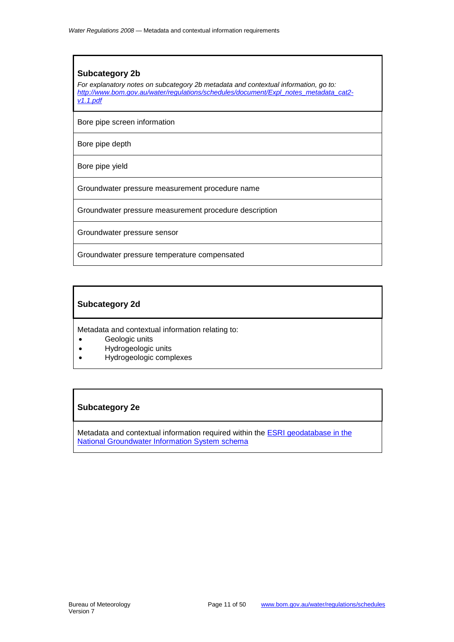#### **Subcategory 2b**

*For explanatory notes on subcategory 2b metadata and contextual information, go to: [http://www.bom.gov.au/water/regulations/schedules/document/Expl\\_notes\\_metadata\\_cat2](http://www.bom.gov.au/water/regulations/schedules/document/Expl_notes_metadata_cat2-v1.1.pdf) [v1.1.pdf](http://www.bom.gov.au/water/regulations/schedules/document/Expl_notes_metadata_cat2-v1.1.pdf)*

Bore pipe screen information

Bore pipe depth

Bore pipe yield

Groundwater pressure measurement procedure name

Groundwater pressure measurement procedure description

Groundwater pressure sensor

Groundwater pressure temperature compensated

#### <span id="page-10-0"></span>**Subcategory 2d**

Metadata and contextual information relating to:

- Geologic units
- Hydrogeologic units
- Hydrogeologic complexes

#### <span id="page-10-1"></span>**Subcategory 2e**

Metadata and contextual information required within the [ESRI geodatabase](http://www.bom.gov.au/water/regulations/dataDelivery/overview/cat2eDataFormat.shtml) in the [National Groundwater Information System schema](http://www.bom.gov.au/water/regulations/dataDelivery/overview/cat2eDataFormat.shtml)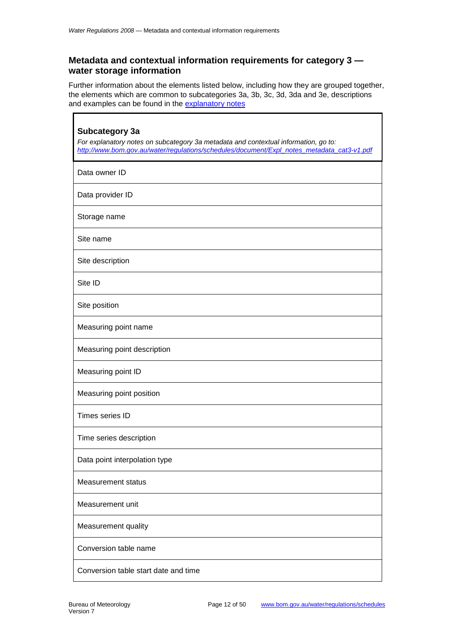Ē

#### <span id="page-11-0"></span>**Metadata and contextual information requirements for category 3 water storage information**

Further information about the elements listed below, including how they are grouped together, the elements which are common to subcategories 3a, 3b, 3c, 3d, 3da and 3e, descriptions and examples can be found in the [explanatory notes](http://www.bom.gov.au/water/regulations/schedules/document/Expl_notes_metadata_cat3-v1.pdf)

٦

<span id="page-11-1"></span>

| <b>Subcategory 3a</b><br>For explanatory notes on subcategory 3a metadata and contextual information, go to:<br>http://www.bom.gov.au/water/requlations/schedules/document/Expl notes metadata cat3-v1.pdf |
|------------------------------------------------------------------------------------------------------------------------------------------------------------------------------------------------------------|
| Data owner ID                                                                                                                                                                                              |
| Data provider ID                                                                                                                                                                                           |
| Storage name                                                                                                                                                                                               |
| Site name                                                                                                                                                                                                  |
| Site description                                                                                                                                                                                           |
| Site ID                                                                                                                                                                                                    |
| Site position                                                                                                                                                                                              |
| Measuring point name                                                                                                                                                                                       |
| Measuring point description                                                                                                                                                                                |
| Measuring point ID                                                                                                                                                                                         |
| Measuring point position                                                                                                                                                                                   |
| Times series ID                                                                                                                                                                                            |
| Time series description                                                                                                                                                                                    |
| Data point interpolation type                                                                                                                                                                              |
| <b>Measurement status</b>                                                                                                                                                                                  |
| Measurement unit                                                                                                                                                                                           |
| Measurement quality                                                                                                                                                                                        |
| Conversion table name                                                                                                                                                                                      |
| Conversion table start date and time                                                                                                                                                                       |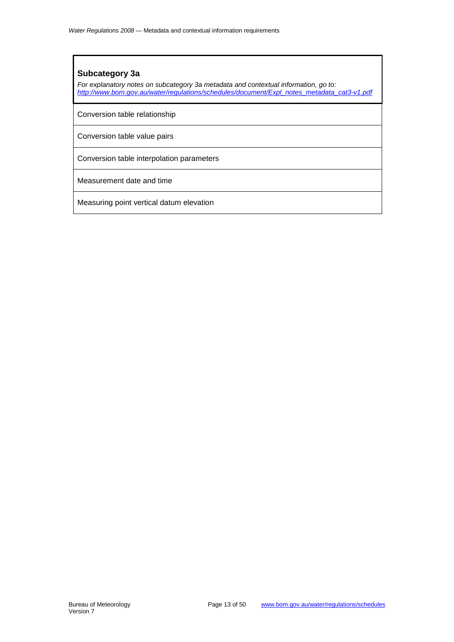#### **Subcategory 3a**

*For explanatory notes on subcategory 3a metadata and contextual information, go to: [http://www.bom.gov.au/water/regulations/schedules/document/Expl\\_notes\\_metadata\\_cat3-v1.pdf](http://www.bom.gov.au/water/regulations/schedules/document/Expl_notes_metadata_cat3-v1.pdf)*

Conversion table relationship

Conversion table value pairs

Conversion table interpolation parameters

Measurement date and time

Measuring point vertical datum elevation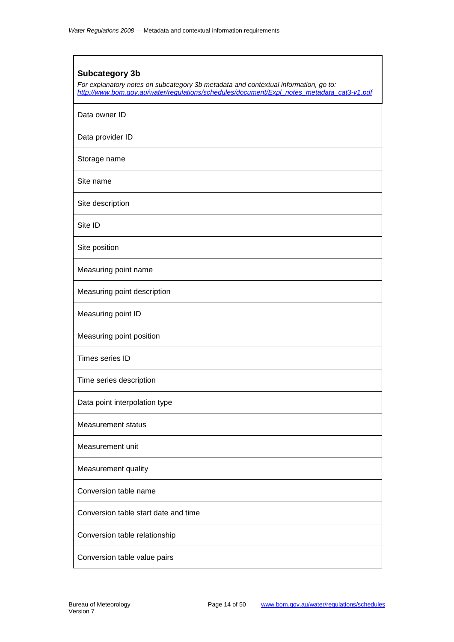# <span id="page-13-0"></span>**Subcategory 3b** *For explanatory notes on subcategory 3b metadata and contextual information, go to: [http://www.bom.gov.au/water/regulations/schedules/document/Expl\\_notes\\_metadata\\_cat3-v1.pdf](http://www.bom.gov.au/water/regulations/schedules/document/Expl_notes_metadata_cat3-v1.pdf)* Data owner ID Data provider ID Storage name Site name Site description Site ID Site position Measuring point name Measuring point description Measuring point ID Measuring point position Times series ID Time series description Data point interpolation type Measurement status Measurement unit Measurement quality Conversion table name Conversion table start date and time Conversion table relationship Conversion table value pairs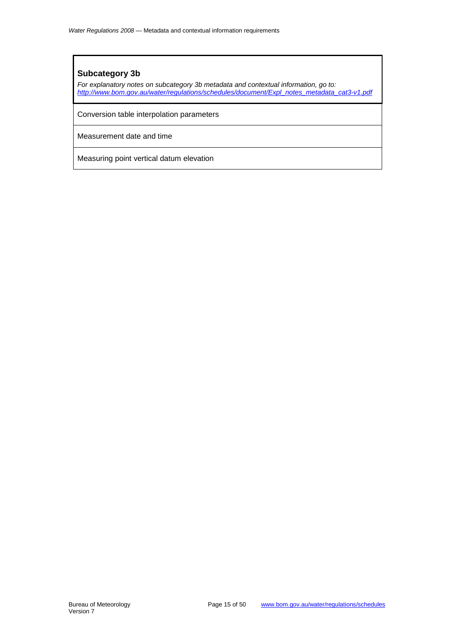#### **Subcategory 3b**

*For explanatory notes on subcategory 3b metadata and contextual information, go to: [http://www.bom.gov.au/water/regulations/schedules/document/Expl\\_notes\\_metadata\\_cat3-v1.pdf](http://www.bom.gov.au/water/regulations/schedules/document/Expl_notes_metadata_cat3-v1.pdf)*

Conversion table interpolation parameters

Measurement date and time

Measuring point vertical datum elevation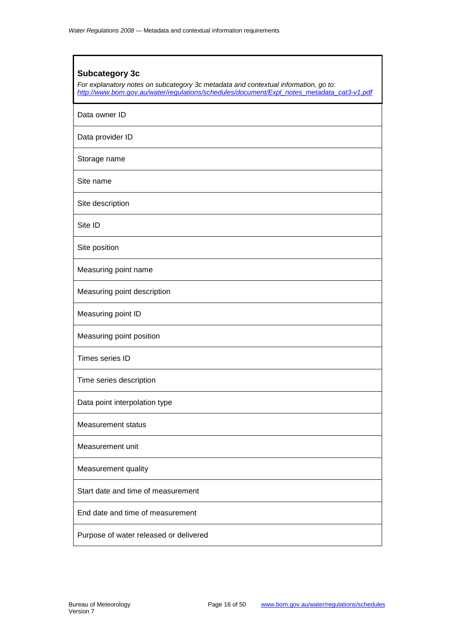# <span id="page-15-0"></span>**Subcategory 3c** *For explanatory notes on subcategory 3c metadata and contextual information, go to: [http://www.bom.gov.au/water/regulations/schedules/document/Expl\\_notes\\_metadata\\_cat3-v1.pdf](http://www.bom.gov.au/water/regulations/schedules/document/Expl_notes_metadata_cat3-v1.pdf)* Data owner ID Data provider ID Storage name Site name Site description Site ID Site position Measuring point name Measuring point description Measuring point ID Measuring point position Times series ID Time series description Data point interpolation type Measurement status Measurement unit Measurement quality Start date and time of measurement End date and time of measurement Purpose of water released or delivered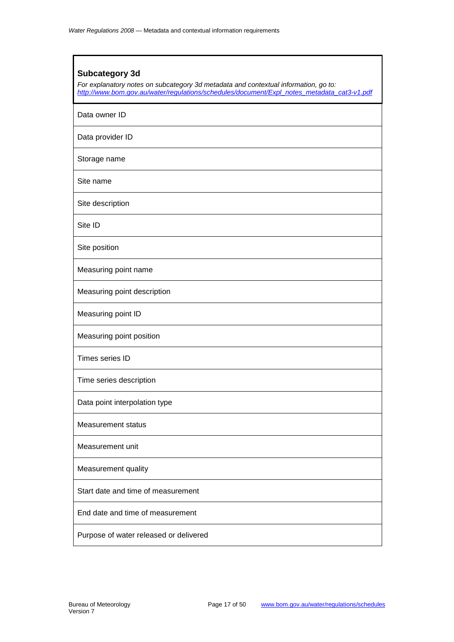# <span id="page-16-0"></span>**Subcategory 3d** *For explanatory notes on subcategory 3d metadata and contextual information, go to: [http://www.bom.gov.au/water/regulations/schedules/document/Expl\\_notes\\_metadata\\_cat3-v1.pdf](http://www.bom.gov.au/water/regulations/schedules/document/Expl_notes_metadata_cat3-v1.pdf)* Data owner ID Data provider ID Storage name Site name Site description Site ID Site position Measuring point name Measuring point description Measuring point ID Measuring point position Times series ID Time series description Data point interpolation type Measurement status Measurement unit Measurement quality Start date and time of measurement End date and time of measurement Purpose of water released or delivered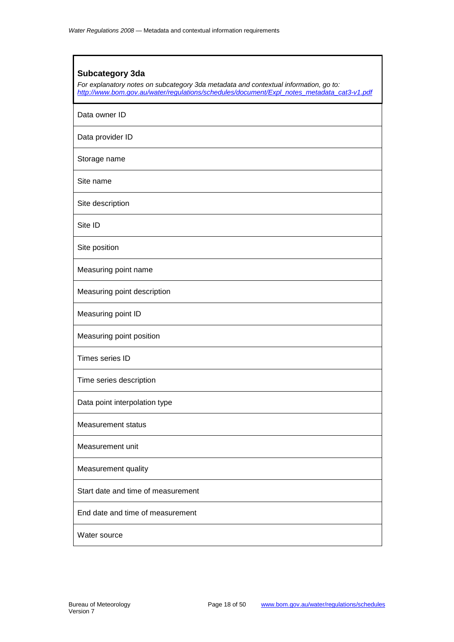#### <span id="page-17-0"></span>**Subcategory 3da**

*For explanatory notes on subcategory 3da metadata and contextual information, go to: [http://www.bom.gov.au/water/regulations/schedules/document/Expl\\_notes\\_metadata\\_cat3-v1.pdf](http://www.bom.gov.au/water/regulations/schedules/document/Expl_notes_metadata_cat3-v1.pdf)*

Data owner ID

Data provider ID

Storage name

Site name

Site description

Site ID

Site position

Measuring point name

Measuring point description

Measuring point ID

Measuring point position

Times series ID

Time series description

Data point interpolation type

Measurement status

Measurement unit

Measurement quality

Start date and time of measurement

End date and time of measurement

Water source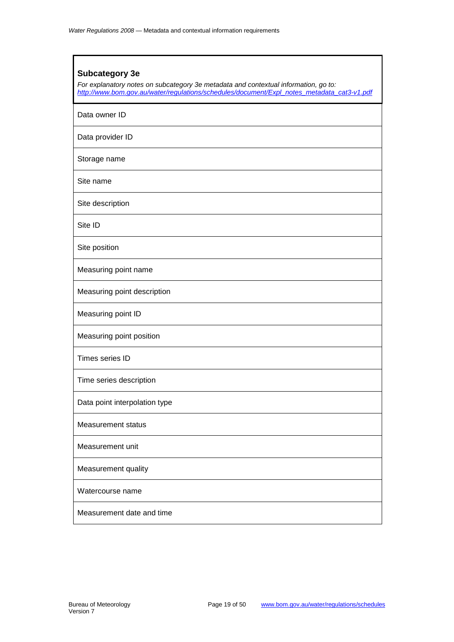# <span id="page-18-0"></span>**Subcategory 3e** *For explanatory notes on subcategory 3e metadata and contextual information, go to: [http://www.bom.gov.au/water/regulations/schedules/document/Expl\\_notes\\_metadata\\_cat3-v1.pdf](http://www.bom.gov.au/water/regulations/schedules/document/Expl_notes_metadata_cat3-v1.pdf)* Data owner ID Data provider ID Storage name Site name Site description Site ID Site position Measuring point name Measuring point description Measuring point ID Measuring point position Times series ID Time series description Data point interpolation type Measurement status Measurement unit Measurement quality Watercourse name Measurement date and time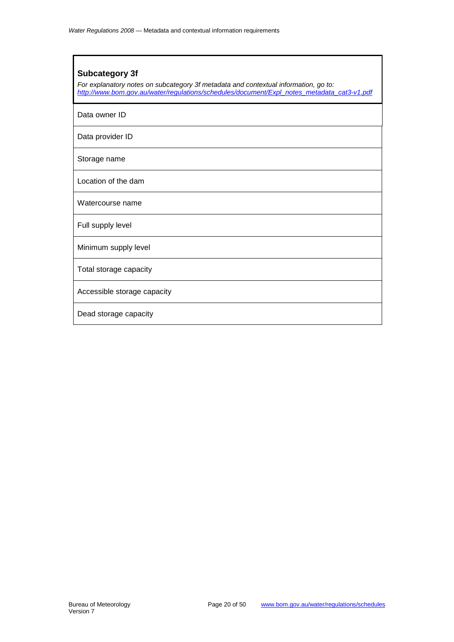#### <span id="page-19-0"></span>**Subcategory 3f**

*For explanatory notes on subcategory 3f metadata and contextual information, go to: [http://www.bom.gov.au/water/regulations/schedules/document/Expl\\_notes\\_metadata\\_cat3-v1.pdf](http://www.bom.gov.au/water/regulations/schedules/document/Expl_notes_metadata_cat3-v1.pdf)*

Data owner ID

Data provider ID

Storage name

Location of the dam

Watercourse name

Full supply level

Minimum supply level

Total storage capacity

Accessible storage capacity

Dead storage capacity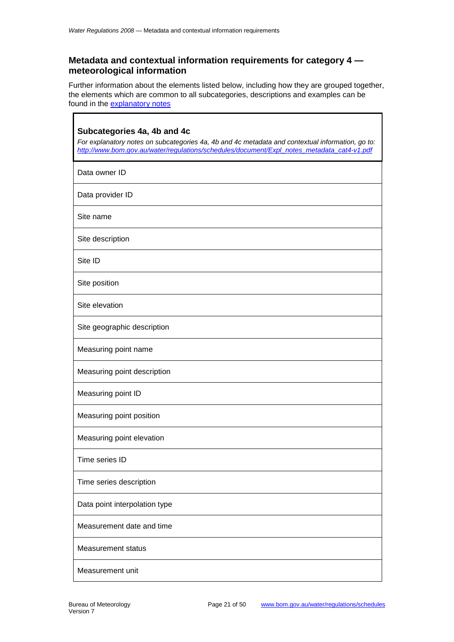$\mathbf{r}$ 

#### <span id="page-20-0"></span>**Metadata and contextual information requirements for category 4 meteorological information**

Further information about the elements listed below, including how they are grouped together, the elements which are common to all subcategories, descriptions and examples can be found in the [explanatory notes](http://www.bom.gov.au/water/regulations/schedules/document/Expl_notes_metadata_cat4-v1.pdf)

٦

<span id="page-20-1"></span>

| Subcategories 4a, 4b and 4c<br>For explanatory notes on subcategories 4a, 4b and 4c metadata and contextual information, go to:<br>http://www.bom.gov.au/water/regulations/schedules/document/Expl notes metadata cat4-v1.pdf |
|-------------------------------------------------------------------------------------------------------------------------------------------------------------------------------------------------------------------------------|
| Data owner ID                                                                                                                                                                                                                 |
| Data provider ID                                                                                                                                                                                                              |
| Site name                                                                                                                                                                                                                     |
| Site description                                                                                                                                                                                                              |
| Site ID                                                                                                                                                                                                                       |
| Site position                                                                                                                                                                                                                 |
| Site elevation                                                                                                                                                                                                                |
| Site geographic description                                                                                                                                                                                                   |
| Measuring point name                                                                                                                                                                                                          |
| Measuring point description                                                                                                                                                                                                   |
| Measuring point ID                                                                                                                                                                                                            |
| Measuring point position                                                                                                                                                                                                      |
| Measuring point elevation                                                                                                                                                                                                     |
| Time series ID                                                                                                                                                                                                                |
| Time series description                                                                                                                                                                                                       |
| Data point interpolation type                                                                                                                                                                                                 |
| Measurement date and time                                                                                                                                                                                                     |
| <b>Measurement status</b>                                                                                                                                                                                                     |
| Measurement unit                                                                                                                                                                                                              |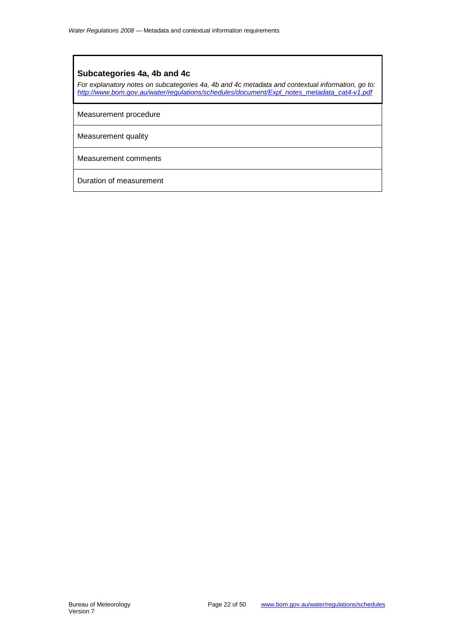#### **Subcategories 4a, 4b and 4c**

*For explanatory notes on subcategories 4a, 4b and 4c metadata and contextual information, go to: [http://www.bom.gov.au/water/regulations/schedules/document/Expl\\_notes\\_metadata\\_cat4-v1.pdf](http://www.bom.gov.au/water/regulations/schedules/document/Expl_notes_metadata_cat4-v1.pdf)*

Measurement procedure

Measurement quality

Measurement comments

Duration of measurement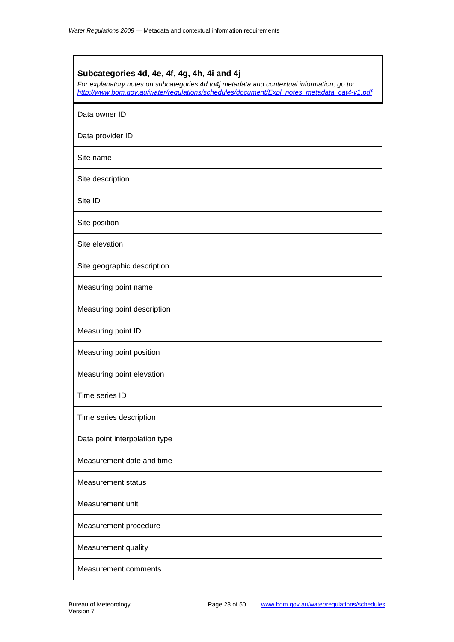<span id="page-22-0"></span>

| Subcategories 4d, 4e, 4f, 4g, 4h, 4i and 4j<br>For explanatory notes on subcategories 4d to4j metadata and contextual information, go to:<br>http://www.bom.gov.au/water/regulations/schedules/document/Expl notes metadata cat4-v1.pdf |
|-----------------------------------------------------------------------------------------------------------------------------------------------------------------------------------------------------------------------------------------|
| Data owner ID                                                                                                                                                                                                                           |
| Data provider ID                                                                                                                                                                                                                        |
| Site name                                                                                                                                                                                                                               |
| Site description                                                                                                                                                                                                                        |
| Site ID                                                                                                                                                                                                                                 |
| Site position                                                                                                                                                                                                                           |
| Site elevation                                                                                                                                                                                                                          |
| Site geographic description                                                                                                                                                                                                             |
| Measuring point name                                                                                                                                                                                                                    |
| Measuring point description                                                                                                                                                                                                             |
| Measuring point ID                                                                                                                                                                                                                      |
| Measuring point position                                                                                                                                                                                                                |
| Measuring point elevation                                                                                                                                                                                                               |
| Time series ID                                                                                                                                                                                                                          |
| Time series description                                                                                                                                                                                                                 |
| Data point interpolation type                                                                                                                                                                                                           |
| Measurement date and time                                                                                                                                                                                                               |
| <b>Measurement status</b>                                                                                                                                                                                                               |
| Measurement unit                                                                                                                                                                                                                        |
| Measurement procedure                                                                                                                                                                                                                   |
| Measurement quality                                                                                                                                                                                                                     |
| <b>Measurement comments</b>                                                                                                                                                                                                             |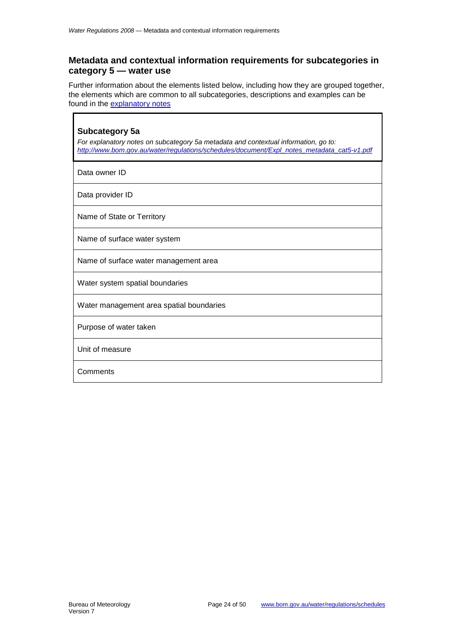Ē

#### <span id="page-23-0"></span>**Metadata and contextual information requirements for subcategories in category 5 — water use**

Further information about the elements listed below, including how they are grouped together, the elements which are common to all subcategories, descriptions and examples can be found in the [explanatory notes](http://www.bom.gov.au/water/regulations/schedules/document/Expl_notes_metadata_cat5-v1.pdf)

J.

<span id="page-23-1"></span>

| Subcategory 5a<br>For explanatory notes on subcategory 5a metadata and contextual information, go to:<br>http://www.bom.gov.au/water/requlations/schedules/document/Expl_notes_metadata_cat5-v1.pdf |
|-----------------------------------------------------------------------------------------------------------------------------------------------------------------------------------------------------|
| Data owner ID                                                                                                                                                                                       |
| Data provider ID                                                                                                                                                                                    |
| Name of State or Territory                                                                                                                                                                          |
| Name of surface water system                                                                                                                                                                        |
| Name of surface water management area                                                                                                                                                               |
| Water system spatial boundaries                                                                                                                                                                     |
| Water management area spatial boundaries                                                                                                                                                            |
| Purpose of water taken                                                                                                                                                                              |
| Unit of measure                                                                                                                                                                                     |
| Comments                                                                                                                                                                                            |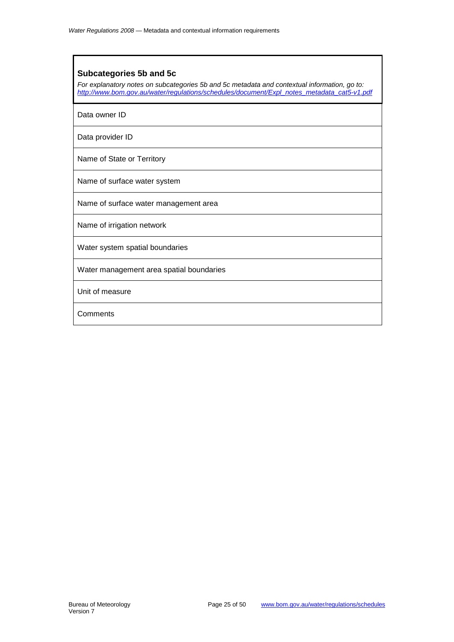#### <span id="page-24-0"></span>**Subcategories 5b and 5c**

*For explanatory notes on subcategories 5b and 5c metadata and contextual information, go to: [http://www.bom.gov.au/water/regulations/schedules/document/Expl\\_notes\\_metadata\\_cat5-v1.pdf](http://www.bom.gov.au/water/regulations/schedules/document/Expl_notes_metadata_cat5-v1.pdf)*

Data owner ID

Data provider ID

Name of State or Territory

Name of surface water system

Name of surface water management area

Name of irrigation network

Water system spatial boundaries

Water management area spatial boundaries

Unit of measure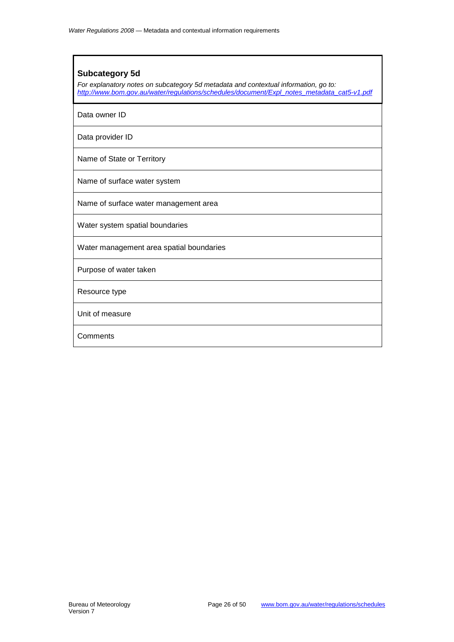#### <span id="page-25-0"></span>**Subcategory 5d**

*For explanatory notes on subcategory 5d metadata and contextual information, go to: [http://www.bom.gov.au/water/regulations/schedules/document/Expl\\_notes\\_metadata\\_cat5-v1.pdf](http://www.bom.gov.au/water/regulations/schedules/document/Expl_notes_metadata_cat5-v1.pdf)*

Data owner ID

Data provider ID

Name of State or Territory

Name of surface water system

Name of surface water management area

Water system spatial boundaries

Water management area spatial boundaries

Purpose of water taken

Resource type

Unit of measure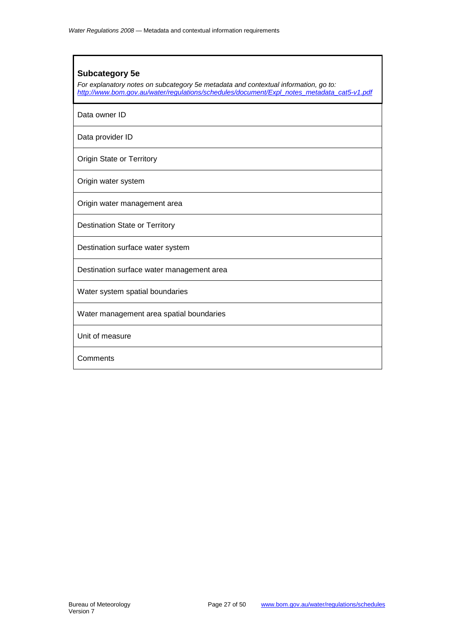#### <span id="page-26-0"></span>**Subcategory 5e**

*For explanatory notes on subcategory 5e metadata and contextual information, go to: [http://www.bom.gov.au/water/regulations/schedules/document/Expl\\_notes\\_metadata\\_cat5-v1.pdf](http://www.bom.gov.au/water/regulations/schedules/document/Expl_notes_metadata_cat5-v1.pdf)*

Data owner ID

Data provider ID

Origin State or Territory

Origin water system

Origin water management area

Destination State or Territory

Destination surface water system

Destination surface water management area

Water system spatial boundaries

Water management area spatial boundaries

Unit of measure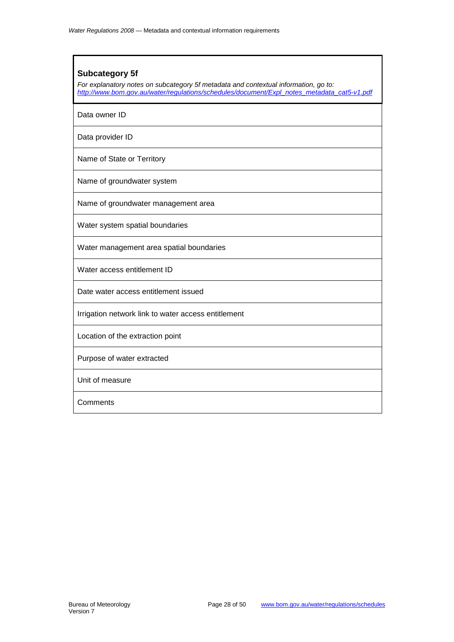#### <span id="page-27-0"></span>**Subcategory 5f**

*For explanatory notes on subcategory 5f metadata and contextual information, go to: [http://www.bom.gov.au/water/regulations/schedules/document/Expl\\_notes\\_metadata\\_cat5-v1.pdf](http://www.bom.gov.au/water/regulations/schedules/document/Expl_notes_metadata_cat5-v1.pdf)*

Data owner ID

Data provider ID

Name of State or Territory

Name of groundwater system

Name of groundwater management area

Water system spatial boundaries

Water management area spatial boundaries

Water access entitlement ID

Date water access entitlement issued

Irrigation network link to water access entitlement

Location of the extraction point

Purpose of water extracted

Unit of measure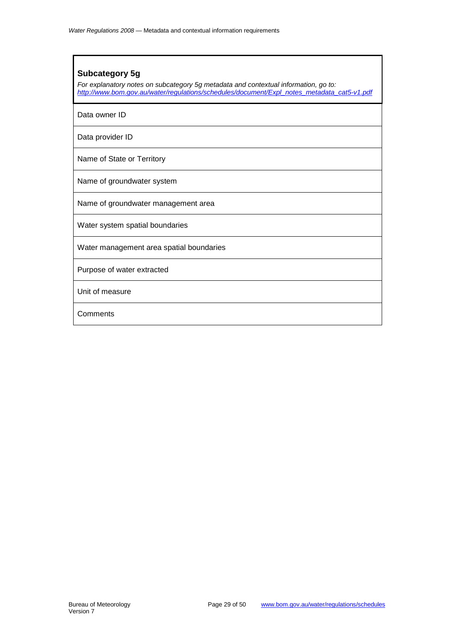#### <span id="page-28-0"></span>**Subcategory 5g**

*For explanatory notes on subcategory 5g metadata and contextual information, go to: [http://www.bom.gov.au/water/regulations/schedules/document/Expl\\_notes\\_metadata\\_cat5-v1.pdf](http://www.bom.gov.au/water/regulations/schedules/document/Expl_notes_metadata_cat5-v1.pdf)*

Data owner ID

Data provider ID

Name of State or Territory

Name of groundwater system

Name of groundwater management area

Water system spatial boundaries

Water management area spatial boundaries

Purpose of water extracted

Unit of measure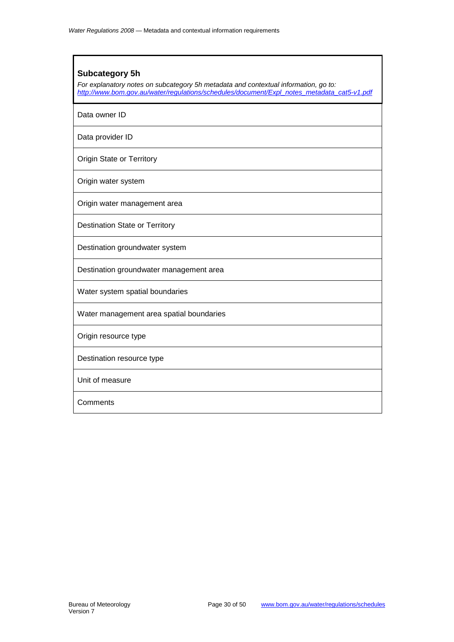#### <span id="page-29-0"></span>**Subcategory 5h**

*For explanatory notes on subcategory 5h metadata and contextual information, go to: [http://www.bom.gov.au/water/regulations/schedules/document/Expl\\_notes\\_metadata\\_cat5-v1.pdf](http://www.bom.gov.au/water/regulations/schedules/document/Expl_notes_metadata_cat5-v1.pdf)*

Data owner ID

Data provider ID

Origin State or Territory

Origin water system

Origin water management area

Destination State or Territory

Destination groundwater system

Destination groundwater management area

Water system spatial boundaries

Water management area spatial boundaries

Origin resource type

Destination resource type

Unit of measure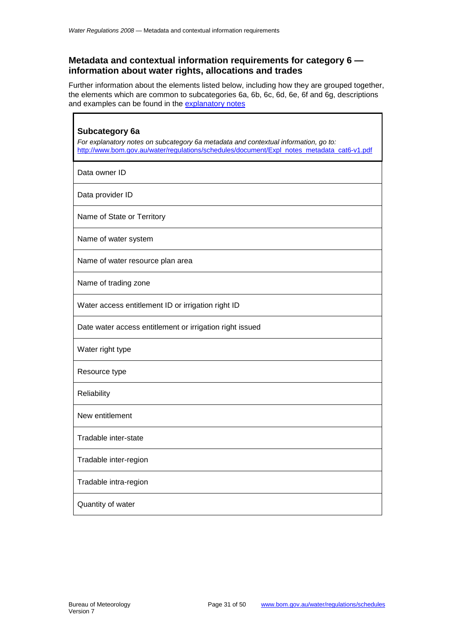Ē

#### <span id="page-30-0"></span>**Metadata and contextual information requirements for category 6 information about water rights, allocations and trades**

Further information about the elements listed below, including how they are grouped together, the elements which are common to subcategories 6a, 6b, 6c, 6d, 6e, 6f and 6g, descriptions and examples can be found in the [explanatory notes](http://www.bom.gov.au/water/regulations/schedules/document/Expl_notes_metadata_cat6-v1.pdf)

٦

<span id="page-30-1"></span>

| Subcategory 6a<br>For explanatory notes on subcategory 6a metadata and contextual information, go to:<br>http://www.bom.gov.au/water/regulations/schedules/document/Expl notes metadata cat6-v1.pdf |  |
|-----------------------------------------------------------------------------------------------------------------------------------------------------------------------------------------------------|--|
| Data owner ID                                                                                                                                                                                       |  |
| Data provider ID                                                                                                                                                                                    |  |
| Name of State or Territory                                                                                                                                                                          |  |
| Name of water system                                                                                                                                                                                |  |
| Name of water resource plan area                                                                                                                                                                    |  |
| Name of trading zone                                                                                                                                                                                |  |
| Water access entitlement ID or irrigation right ID                                                                                                                                                  |  |
| Date water access entitlement or irrigation right issued                                                                                                                                            |  |
| Water right type                                                                                                                                                                                    |  |
| Resource type                                                                                                                                                                                       |  |
| Reliability                                                                                                                                                                                         |  |
| New entitlement                                                                                                                                                                                     |  |
| Tradable inter-state                                                                                                                                                                                |  |
| Tradable inter-region                                                                                                                                                                               |  |
| Tradable intra-region                                                                                                                                                                               |  |
| Quantity of water                                                                                                                                                                                   |  |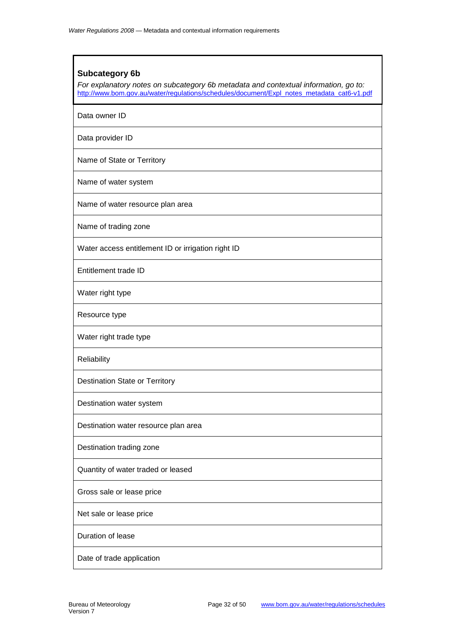#### <span id="page-31-0"></span>**Subcategory 6b**

*For explanatory notes on subcategory 6b metadata and contextual information, go to:*  [http://www.bom.gov.au/water/regulations/schedules/document/Expl\\_notes\\_metadata\\_cat6-v1.pdf](http://www.bom.gov.au/water/regulations/schedules/document/Expl_notes_metadata_cat6-v1.pdf)

Data owner ID

Data provider ID

Name of State or Territory

Name of water system

Name of water resource plan area

Name of trading zone

Water access entitlement ID or irrigation right ID

Entitlement trade ID

Water right type

Resource type

Water right trade type

Reliability

Destination State or Territory

Destination water system

Destination water resource plan area

Destination trading zone

Quantity of water traded or leased

Gross sale or lease price

Net sale or lease price

Duration of lease

Date of trade application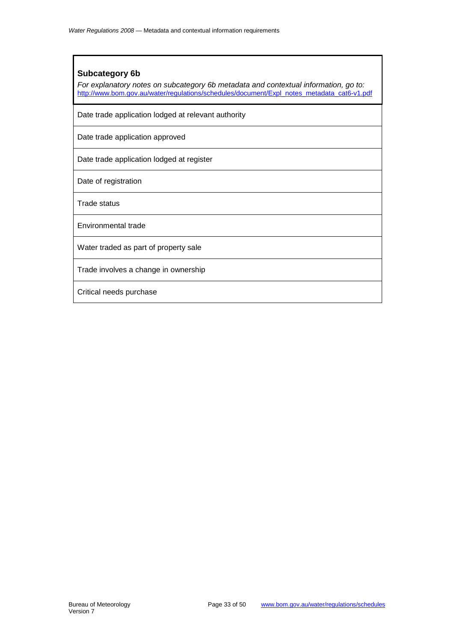#### **Subcategory 6b**

*For explanatory notes on subcategory 6b metadata and contextual information, go to:*  [http://www.bom.gov.au/water/regulations/schedules/document/Expl\\_notes\\_metadata\\_cat6-v1.pdf](http://www.bom.gov.au/water/regulations/schedules/document/Expl_notes_metadata_cat6-v1.pdf)

Date trade application lodged at relevant authority

Date trade application approved

Date trade application lodged at register

Date of registration

Trade status

Environmental trade

Water traded as part of property sale

Trade involves a change in ownership

Critical needs purchase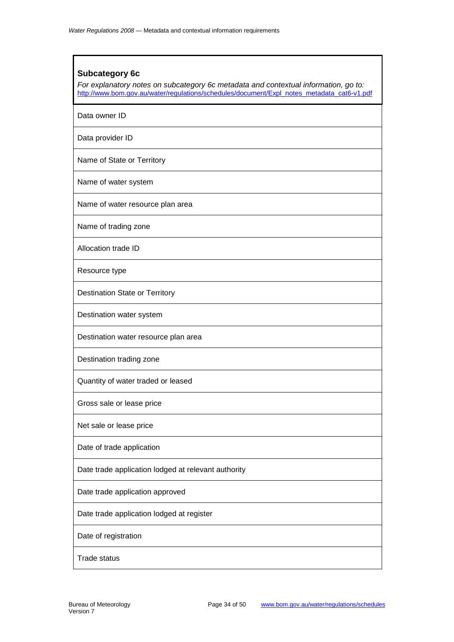#### <span id="page-33-0"></span>**Subcategory 6c**

*For explanatory notes on subcategory 6c metadata and contextual information, go to:*  [http://www.bom.gov.au/water/regulations/schedules/document/Expl\\_notes\\_metadata\\_cat6-v1.pdf](http://www.bom.gov.au/water/regulations/schedules/document/Expl_notes_metadata_cat6-v1.pdf)

Data owner ID

Data provider ID

Name of State or Territory

Name of water system

Name of water resource plan area

Name of trading zone

Allocation trade ID

Resource type

Destination State or Territory

Destination water system

Destination water resource plan area

Destination trading zone

Quantity of water traded or leased

Gross sale or lease price

Net sale or lease price

Date of trade application

Date trade application lodged at relevant authority

Date trade application approved

Date trade application lodged at register

Date of registration

Trade status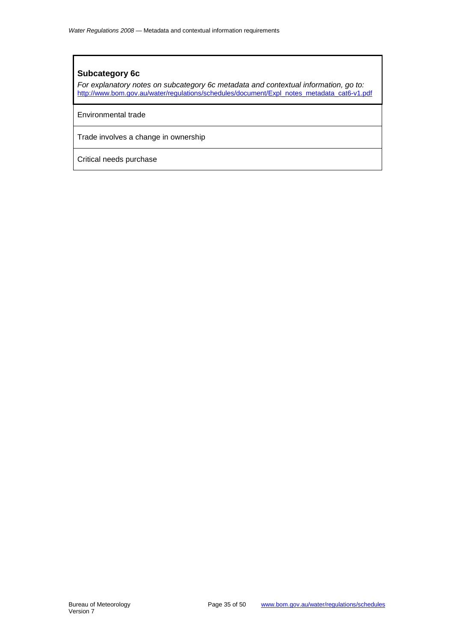#### **Subcategory 6c**

*For explanatory notes on subcategory 6c metadata and contextual information, go to:*  [http://www.bom.gov.au/water/regulations/schedules/document/Expl\\_notes\\_metadata\\_cat6-v1.pdf](http://www.bom.gov.au/water/regulations/schedules/document/Expl_notes_metadata_cat6-v1.pdf)

Environmental trade

Trade involves a change in ownership

Critical needs purchase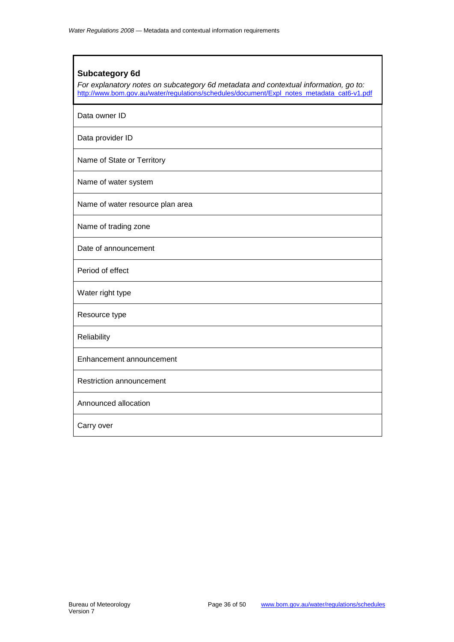#### <span id="page-35-0"></span>**Subcategory 6d**

*For explanatory notes on subcategory 6d metadata and contextual information, go to:*  [http://www.bom.gov.au/water/regulations/schedules/document/Expl\\_notes\\_metadata\\_cat6-v1.pdf](http://www.bom.gov.au/water/regulations/schedules/document/Expl_notes_metadata_cat6-v1.pdf)

Data owner ID

Data provider ID

Name of State or Territory

Name of water system

Name of water resource plan area

Name of trading zone

Date of announcement

Period of effect

Water right type

Resource type

**Reliability** 

Enhancement announcement

Restriction announcement

Announced allocation

Carry over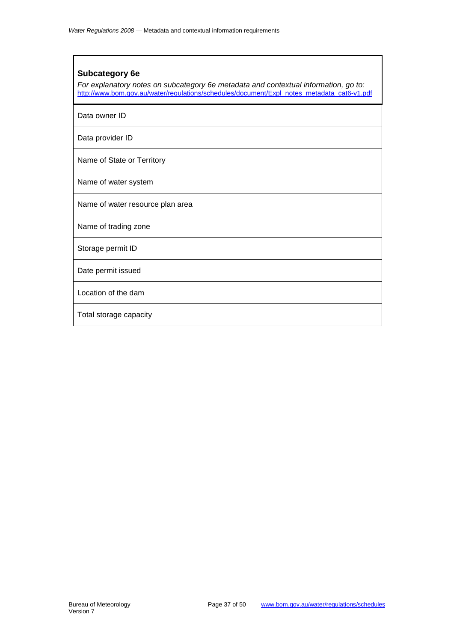#### <span id="page-36-0"></span>**Subcategory 6e**

*For explanatory notes on subcategory 6e metadata and contextual information, go to:*  [http://www.bom.gov.au/water/regulations/schedules/document/Expl\\_notes\\_metadata\\_cat6-v1.pdf](http://www.bom.gov.au/water/regulations/schedules/document/Expl_notes_metadata_cat6-v1.pdf)

Data owner ID

Data provider ID

Name of State or Territory

Name of water system

Name of water resource plan area

Name of trading zone

Storage permit ID

Date permit issued

Location of the dam

Total storage capacity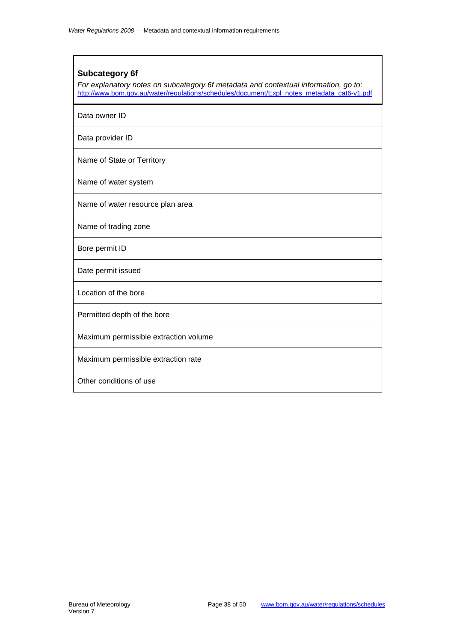#### <span id="page-37-0"></span>**Subcategory 6f**

*For explanatory notes on subcategory 6f metadata and contextual information, go to:*  [http://www.bom.gov.au/water/regulations/schedules/document/Expl\\_notes\\_metadata\\_cat6-v1.pdf](http://www.bom.gov.au/water/regulations/schedules/document/Expl_notes_metadata_cat6-v1.pdf)

Data owner ID

Data provider ID

Name of State or Territory

Name of water system

Name of water resource plan area

Name of trading zone

Bore permit ID

Date permit issued

Location of the bore

Permitted depth of the bore

Maximum permissible extraction volume

Maximum permissible extraction rate

Other conditions of use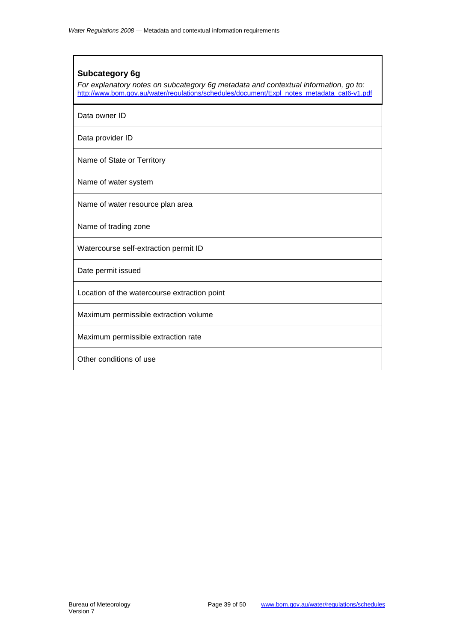#### <span id="page-38-0"></span>**Subcategory 6g**

*For explanatory notes on subcategory 6g metadata and contextual information, go to:*  [http://www.bom.gov.au/water/regulations/schedules/document/Expl\\_notes\\_metadata\\_cat6-v1.pdf](http://www.bom.gov.au/water/regulations/schedules/document/Expl_notes_metadata_cat6-v1.pdf)

Data owner ID

Data provider ID

Name of State or Territory

Name of water system

Name of water resource plan area

Name of trading zone

Watercourse self-extraction permit ID

Date permit issued

Location of the watercourse extraction point

Maximum permissible extraction volume

Maximum permissible extraction rate

Other conditions of use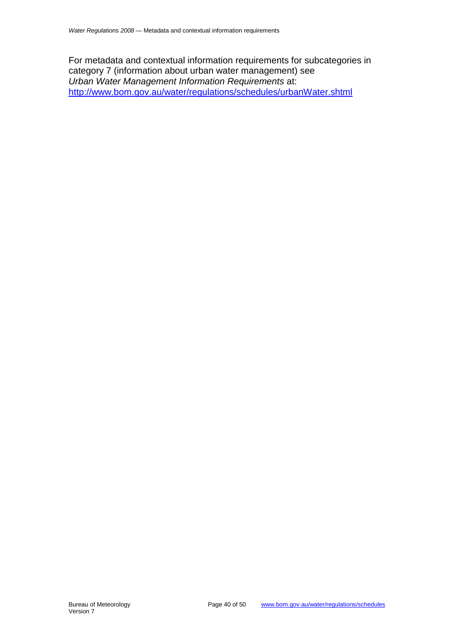<span id="page-39-0"></span>For metadata and contextual information requirements for subcategories in category 7 (information about urban water management) see *Urban Water Management Information Requirements* at: <http://www.bom.gov.au/water/regulations/schedules/urbanWater.shtml>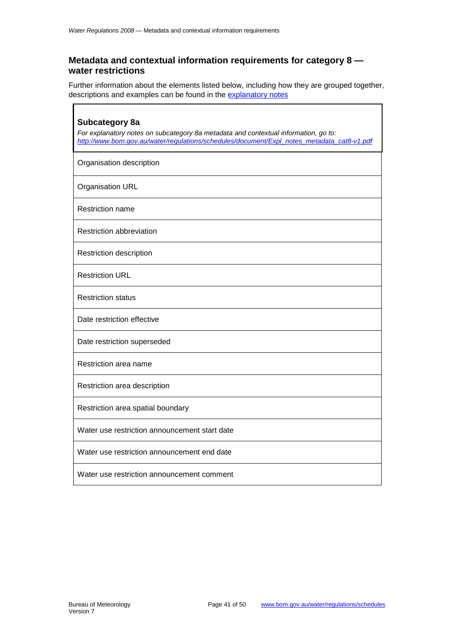#### <span id="page-40-0"></span>**Metadata and contextual information requirements for category 8 water restrictions**

Further information about the elements listed below, including how they are grouped together, descriptions and examples can be found in the [explanatory notes](http://www.bom.gov.au/water/regulations/schedules/document/Expl_notes_metadata_cat8-v1.pdf)

<span id="page-40-1"></span>

| Subcategory 8a<br>For explanatory notes on subcategory 8a metadata and contextual information, go to:<br>http://www.bom.gov.au/water/regulations/schedules/document/Expl notes_metadata_cat8-v1.pdf |
|-----------------------------------------------------------------------------------------------------------------------------------------------------------------------------------------------------|
| Organisation description                                                                                                                                                                            |
| <b>Organisation URL</b>                                                                                                                                                                             |
| <b>Restriction name</b>                                                                                                                                                                             |
| <b>Restriction abbreviation</b>                                                                                                                                                                     |
| Restriction description                                                                                                                                                                             |
| <b>Restriction URL</b>                                                                                                                                                                              |
| <b>Restriction status</b>                                                                                                                                                                           |
| Date restriction effective                                                                                                                                                                          |
| Date restriction superseded                                                                                                                                                                         |
| Restriction area name                                                                                                                                                                               |
| Restriction area description                                                                                                                                                                        |
| Restriction area spatial boundary                                                                                                                                                                   |
| Water use restriction announcement start date                                                                                                                                                       |
| Water use restriction announcement end date                                                                                                                                                         |
| Water use restriction announcement comment                                                                                                                                                          |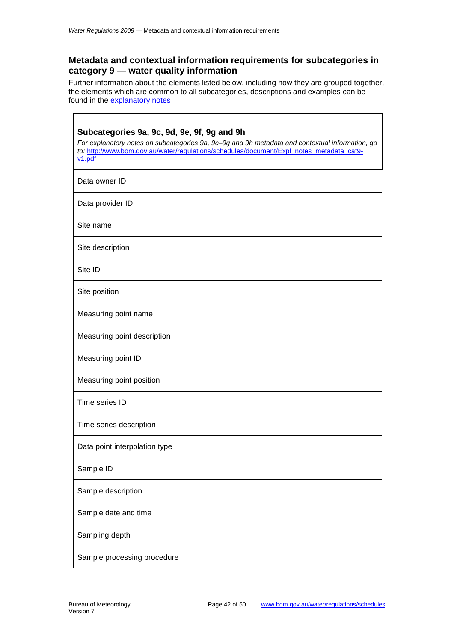#### <span id="page-41-0"></span>**Metadata and contextual information requirements for subcategories in category 9 — water quality information**

Further information about the elements listed below, including how they are grouped together, the elements which are common to all subcategories, descriptions and examples can be found in the [explanatory notes](http://www.bom.gov.au/water/regulations/schedules/document/Expl_notes_metadata_cat9-v1.pdf)

<span id="page-41-1"></span>

| Subcategories 9a, 9c, 9d, 9e, 9f, 9g and 9h<br>For explanatory notes on subcategories 9a, 9c-9g and 9h metadata and contextual information, go<br>to: http://www.bom.gov.au/water/regulations/schedules/document/Expl_notes_metadata_cat9-<br>v1.pdf |
|------------------------------------------------------------------------------------------------------------------------------------------------------------------------------------------------------------------------------------------------------|
| Data owner ID                                                                                                                                                                                                                                        |
| Data provider ID                                                                                                                                                                                                                                     |
| Site name                                                                                                                                                                                                                                            |
| Site description                                                                                                                                                                                                                                     |
| Site ID                                                                                                                                                                                                                                              |
| Site position                                                                                                                                                                                                                                        |
| Measuring point name                                                                                                                                                                                                                                 |
| Measuring point description                                                                                                                                                                                                                          |
| Measuring point ID                                                                                                                                                                                                                                   |
| Measuring point position                                                                                                                                                                                                                             |
| Time series ID                                                                                                                                                                                                                                       |
| Time series description                                                                                                                                                                                                                              |
| Data point interpolation type                                                                                                                                                                                                                        |
| Sample ID                                                                                                                                                                                                                                            |
| Sample description                                                                                                                                                                                                                                   |
| Sample date and time                                                                                                                                                                                                                                 |
| Sampling depth                                                                                                                                                                                                                                       |
| Sample processing procedure                                                                                                                                                                                                                          |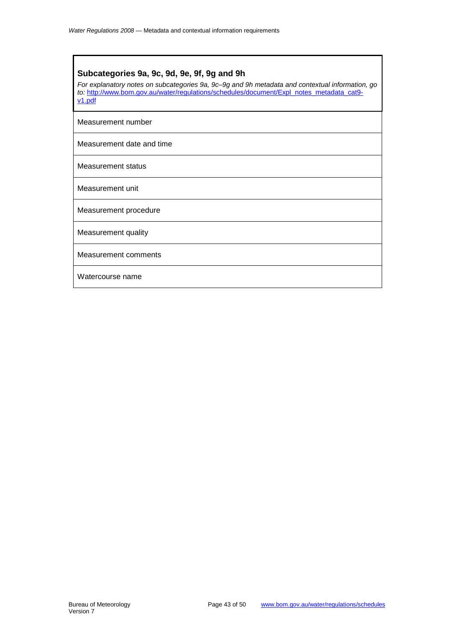#### **Subcategories 9a, 9c, 9d, 9e, 9f, 9g and 9h**

*For explanatory notes on subcategories 9a, 9c–9g and 9h metadata and contextual information, go to:* [http://www.bom.gov.au/water/regulations/schedules/document/Expl\\_notes\\_metadata\\_cat9](http://www.bom.gov.au/water/regulations/schedules/document/Expl_notes_metadata_cat9-v1.pdf) [v1.pdf](http://www.bom.gov.au/water/regulations/schedules/document/Expl_notes_metadata_cat9-v1.pdf)

Measurement number

Measurement date and time

Measurement status

Measurement unit

Measurement procedure

Measurement quality

Measurement comments

Watercourse name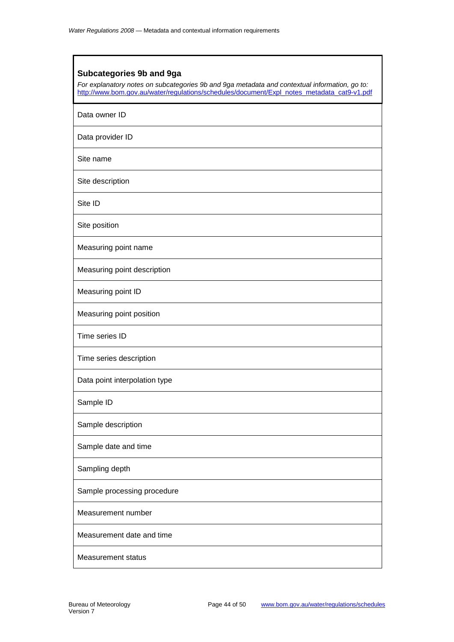#### <span id="page-43-0"></span>**Subcategories 9b and 9ga**

*For explanatory notes on subcategories 9b and 9ga metadata and contextual information, go to:*  [http://www.bom.gov.au/water/regulations/schedules/document/Expl\\_notes\\_metadata\\_cat9-v1.pdf](http://www.bom.gov.au/water/regulations/schedules/document/Expl_notes_metadata_cat9-v1.pdf)

Data owner ID

Data provider ID

Site name

Site description

Site ID

Site position

Measuring point name

Measuring point description

Measuring point ID

Measuring point position

Time series ID

Time series description

Data point interpolation type

Sample ID

Sample description

Sample date and time

Sampling depth

Sample processing procedure

Measurement number

Measurement date and time

Measurement status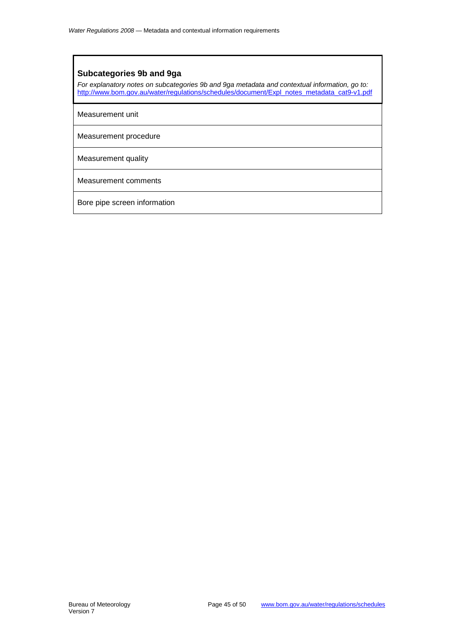#### **Subcategories 9b and 9ga**

*For explanatory notes on subcategories 9b and 9ga metadata and contextual information, go to:*  [http://www.bom.gov.au/water/regulations/schedules/document/Expl\\_notes\\_metadata\\_cat9-v1.pdf](http://www.bom.gov.au/water/regulations/schedules/document/Expl_notes_metadata_cat9-v1.pdf)

Measurement unit

Measurement procedure

Measurement quality

Measurement comments

Bore pipe screen information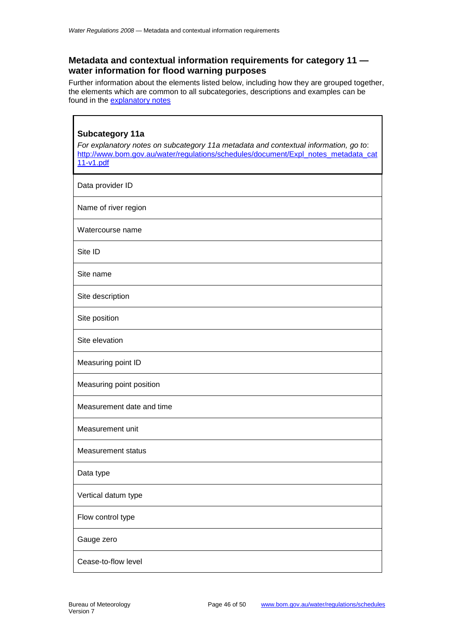r

#### <span id="page-45-0"></span>**Metadata and contextual information requirements for category 11 water information for flood warning purposes**

Further information about the elements listed below, including how they are grouped together, the elements which are common to all subcategories, descriptions and examples can be found in the [explanatory notes](http://www.bom.gov.au/water/regulations/schedules/document/Expl_notes_metadata_cat11-v1.pdf)

٦

<span id="page-45-1"></span>

| <b>Subcategory 11a</b><br>For explanatory notes on subcategory 11a metadata and contextual information, go to:<br>http://www.bom.gov.au/water/regulations/schedules/document/Expl_notes_metadata_cat<br>$11-v1.pdf$ |
|---------------------------------------------------------------------------------------------------------------------------------------------------------------------------------------------------------------------|
| Data provider ID                                                                                                                                                                                                    |
| Name of river region                                                                                                                                                                                                |
| Watercourse name                                                                                                                                                                                                    |
| Site ID                                                                                                                                                                                                             |
| Site name                                                                                                                                                                                                           |
| Site description                                                                                                                                                                                                    |
| Site position                                                                                                                                                                                                       |
| Site elevation                                                                                                                                                                                                      |
| Measuring point ID                                                                                                                                                                                                  |
| Measuring point position                                                                                                                                                                                            |
| Measurement date and time                                                                                                                                                                                           |
| Measurement unit                                                                                                                                                                                                    |
| Measurement status                                                                                                                                                                                                  |
| Data type                                                                                                                                                                                                           |
| Vertical datum type                                                                                                                                                                                                 |
| Flow control type                                                                                                                                                                                                   |
| Gauge zero                                                                                                                                                                                                          |
| Cease-to-flow level                                                                                                                                                                                                 |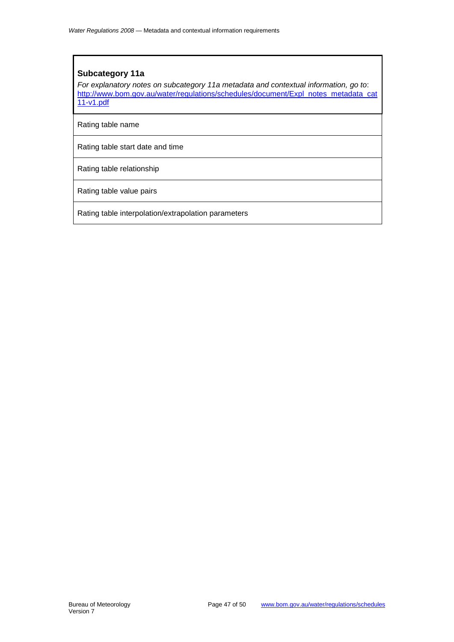#### **Subcategory 11a**

*For explanatory notes on subcategory 11a metadata and contextual information, go to*: [http://www.bom.gov.au/water/regulations/schedules/document/Expl\\_notes\\_metadata\\_cat](http://www.bom.gov.au/water/regulations/schedules/document/Explanatory_notes_for_Category_11-Water_information_for_flood_warning_purposes-v1.pdf) [11-v1.pdf](http://www.bom.gov.au/water/regulations/schedules/document/Explanatory_notes_for_Category_11-Water_information_for_flood_warning_purposes-v1.pdf)

Rating table name

Rating table start date and time

Rating table relationship

Rating table value pairs

Rating table interpolation/extrapolation parameters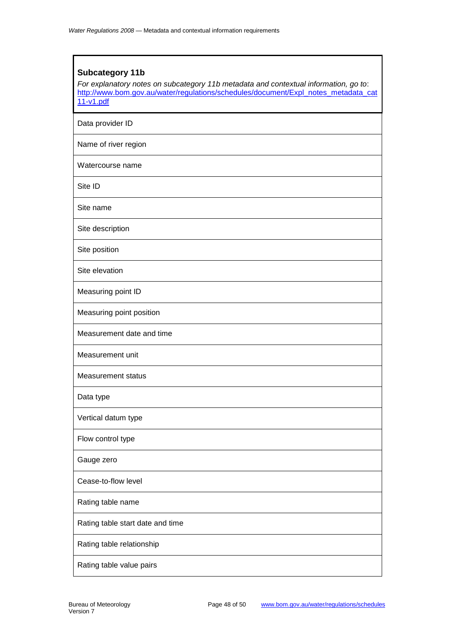### <span id="page-47-0"></span>**Subcategory 11b** *For explanatory notes on subcategory 11b metadata and contextual information, go to*: [http://www.bom.gov.au/water/regulations/schedules/document/Expl\\_notes\\_metadata\\_cat](http://www.bom.gov.au/water/regulations/schedules/document/Explanatory_notes_for_Category_11-Water_information_for_flood_warning_purposes-v1.pdf) [11-v1.pdf](http://www.bom.gov.au/water/regulations/schedules/document/Explanatory_notes_for_Category_11-Water_information_for_flood_warning_purposes-v1.pdf) Data provider ID Name of river region Watercourse name Site ID Site name Site description Site position Site elevation Measuring point ID Measuring point position Measurement date and time Measurement unit Measurement status Data type Vertical datum type Flow control type Gauge zero Cease-to-flow level Rating table name Rating table start date and time Rating table relationship Rating table value pairs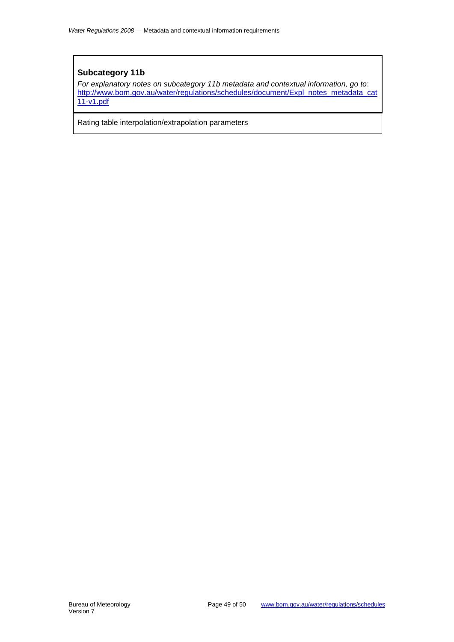#### **Subcategory 11b**

*For explanatory notes on subcategory 11b metadata and contextual information, go to*: [http://www.bom.gov.au/water/regulations/schedules/document/Expl\\_notes\\_metadata\\_cat](http://www.bom.gov.au/water/regulations/schedules/document/Explanatory_notes_for_Category_11-Water_information_for_flood_warning_purposes-v1.pdf) [11-v1.pdf](http://www.bom.gov.au/water/regulations/schedules/document/Explanatory_notes_for_Category_11-Water_information_for_flood_warning_purposes-v1.pdf)

Rating table interpolation/extrapolation parameters